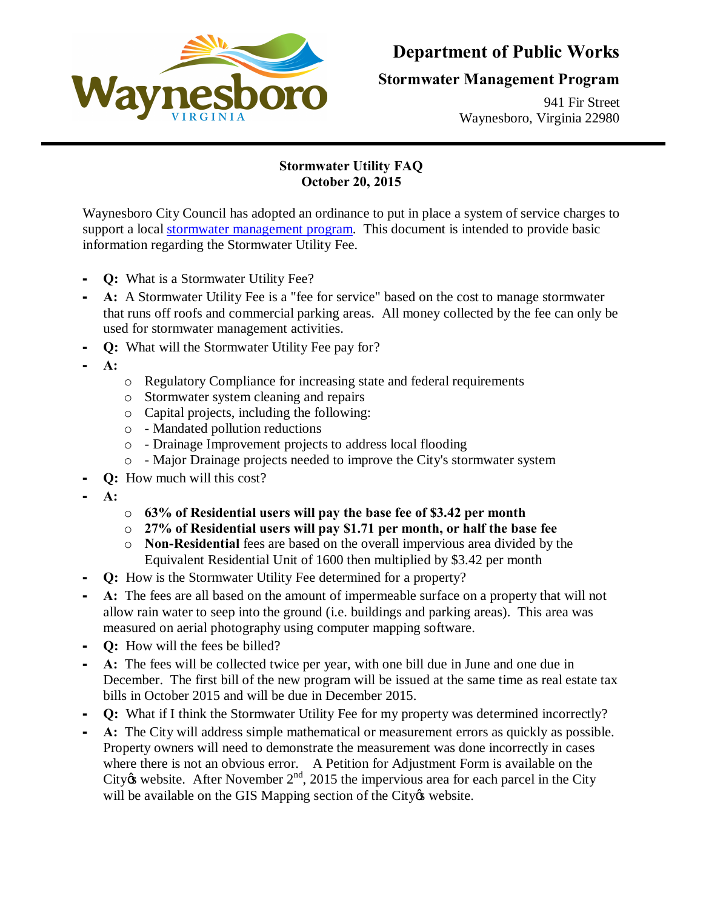

## **Department of Public Works**

## **Stormwater Management Program**

941 Fir Street Waynesboro, Virginia 22980

## **Stormwater Utility FAQ October 20, 2015**

Waynesboro City Council has adopted an ordinance to put in place a system of service charges to support a local stormwater management program. This document is intended to provide basic information regarding the Stormwater Utility Fee.

- **O:** What is a Stormwater Utility Fee?
- A: A Stormwater Utility Fee is a "fee for service" based on the cost to manage stormwater that runs off roofs and commercial parking areas. All money collected by the fee can only be used for stormwater management activities.
- **Q:** What will the Stormwater Utility Fee pay for?
- **A:**
- o Regulatory Compliance for increasing state and federal requirements
- o Stormwater system cleaning and repairs
- o Capital projects, including the following:
- o Mandated pollution reductions
- o Drainage Improvement projects to address local flooding
- o Major Drainage projects needed to improve the City's stormwater system
- **Q:** How much will this cost?
- **A:**
- o **63% of Residential users will pay the base fee of \$3.42 per month**
- o **27% of Residential users will pay \$1.71 per month, or half the base fee**
- o **Non-Residential** fees are based on the overall impervious area divided by the Equivalent Residential Unit of 1600 then multiplied by \$3.42 per month
- **Q:** How is the Stormwater Utility Fee determined for a property?
- A: The fees are all based on the amount of impermeable surface on a property that will not allow rain water to seep into the ground (i.e. buildings and parking areas). This area was measured on aerial photography using computer mapping software.
- **Q:** How will the fees be billed?
- **A:** The fees will be collected twice per year, with one bill due in June and one due in December. The first bill of the new program will be issued at the same time as real estate tax bills in October 2015 and will be due in December 2015.
- **Q:** What if I think the Stormwater Utility Fee for my property was determined incorrectly?
- A: The City will address simple mathematical or measurement errors as quickly as possible. Property owners will need to demonstrate the measurement was done incorrectly in cases where there is not an obvious error. A Petition for Adjustment Form is available on the City & website. After November 2<sup>nd</sup>, 2015 the impervious area for each parcel in the City will be available on the GIS Mapping section of the City & website.